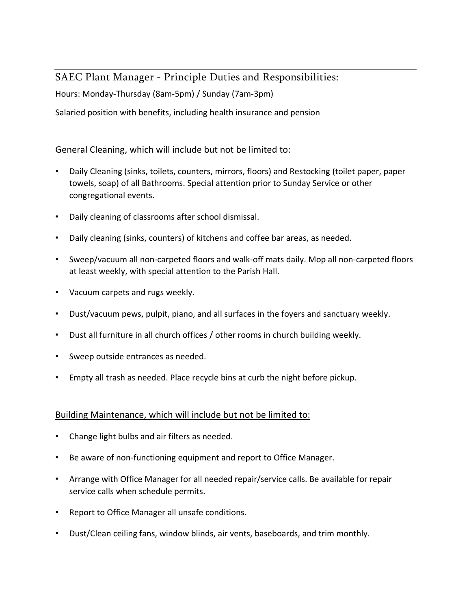# SAEC Plant Manager - Principle Duties and Responsibilities:

Hours: Monday-Thursday (8am-5pm) / Sunday (7am-3pm)

Salaried position with benefits, including health insurance and pension

## General Cleaning, which will include but not be limited to:

- Daily Cleaning (sinks, toilets, counters, mirrors, floors) and Restocking (toilet paper, paper towels, soap) of all Bathrooms. Special attention prior to Sunday Service or other congregational events.
- Daily cleaning of classrooms after school dismissal.
- Daily cleaning (sinks, counters) of kitchens and coffee bar areas, as needed.
- Sweep/vacuum all non-carpeted floors and walk-off mats daily. Mop all non-carpeted floors at least weekly, with special attention to the Parish Hall.
- Vacuum carpets and rugs weekly.
- Dust/vacuum pews, pulpit, piano, and all surfaces in the foyers and sanctuary weekly.
- Dust all furniture in all church offices / other rooms in church building weekly.
- Sweep outside entrances as needed.
- Empty all trash as needed. Place recycle bins at curb the night before pickup.

#### Building Maintenance, which will include but not be limited to:

- Change light bulbs and air filters as needed.
- Be aware of non-functioning equipment and report to Office Manager.
- Arrange with Office Manager for all needed repair/service calls. Be available for repair service calls when schedule permits.
- Report to Office Manager all unsafe conditions.
- Dust/Clean ceiling fans, window blinds, air vents, baseboards, and trim monthly.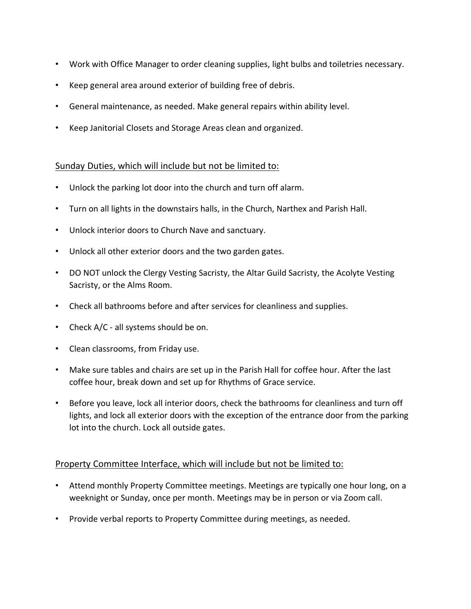- Work with Office Manager to order cleaning supplies, light bulbs and toiletries necessary.
- Keep general area around exterior of building free of debris.
- General maintenance, as needed. Make general repairs within ability level.
- Keep Janitorial Closets and Storage Areas clean and organized.

#### Sunday Duties, which will include but not be limited to:

- Unlock the parking lot door into the church and turn off alarm.
- Turn on all lights in the downstairs halls, in the Church, Narthex and Parish Hall.
- Unlock interior doors to Church Nave and sanctuary.
- Unlock all other exterior doors and the two garden gates.
- DO NOT unlock the Clergy Vesting Sacristy, the Altar Guild Sacristy, the Acolyte Vesting Sacristy, or the Alms Room.
- Check all bathrooms before and after services for cleanliness and supplies.
- Check A/C all systems should be on.
- Clean classrooms, from Friday use.
- Make sure tables and chairs are set up in the Parish Hall for coffee hour. After the last coffee hour, break down and set up for Rhythms of Grace service.
- Before you leave, lock all interior doors, check the bathrooms for cleanliness and turn off lights, and lock all exterior doors with the exception of the entrance door from the parking lot into the church. Lock all outside gates.

#### Property Committee Interface, which will include but not be limited to:

- Attend monthly Property Committee meetings. Meetings are typically one hour long, on a weeknight or Sunday, once per month. Meetings may be in person or via Zoom call.
- Provide verbal reports to Property Committee during meetings, as needed.